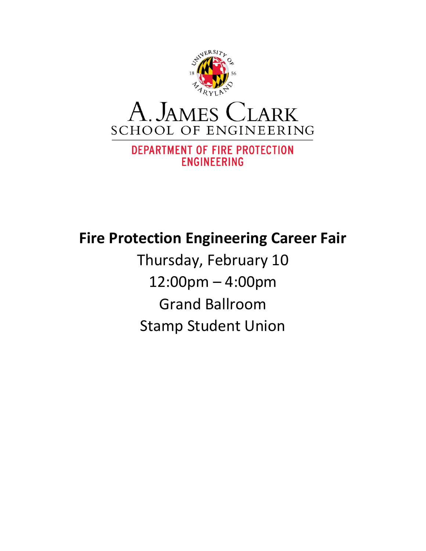

# **Fire Protection Engineering Career Fair**

Thursday, February 10 12:00pm – 4:00pm Grand Ballroom Stamp Student Union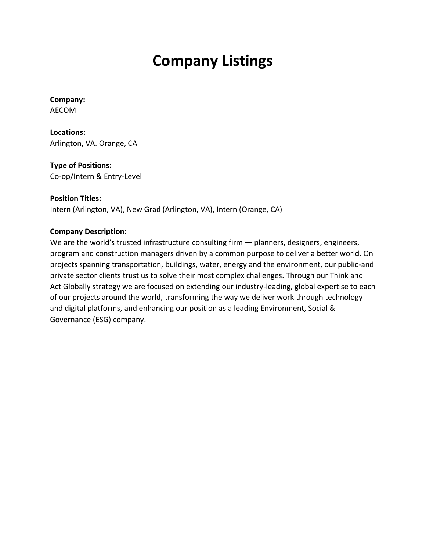# **Company Listings**

**Company:** AECOM

**Locations:** Arlington, VA. Orange, CA

**Type of Positions:** Co-op/Intern & Entry-Level

**Position Titles:** Intern (Arlington, VA), New Grad (Arlington, VA), Intern (Orange, CA)

#### **Company Description:**

We are the world's trusted infrastructure consulting firm  $-$  planners, designers, engineers, program and construction managers driven by a common purpose to deliver a better world. On projects spanning transportation, buildings, water, energy and the environment, our public-and private sector clients trust us to solve their most complex challenges. Through our Think and Act Globally strategy we are focused on extending our industry-leading, global expertise to each of our projects around the world, transforming the way we deliver work through technology and digital platforms, and enhancing our position as a leading Environment, Social & Governance (ESG) company.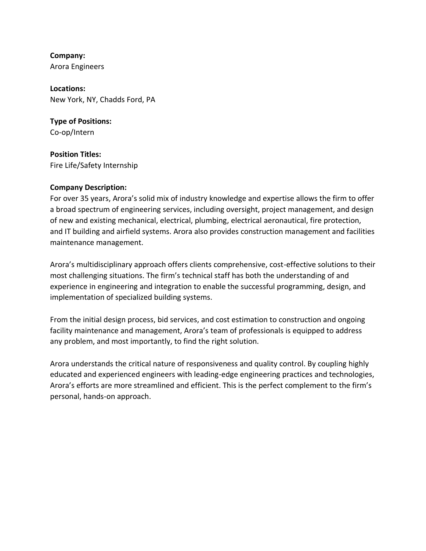**Company:** Arora Engineers

**Locations:** New York, NY, Chadds Ford, PA

**Type of Positions:** Co-op/Intern

**Position Titles:** Fire Life/Safety Internship

#### **Company Description:**

For over 35 years, Arora's solid mix of industry knowledge and expertise allows the firm to offer a broad spectrum of engineering services, including oversight, project management, and design of new and existing mechanical, electrical, plumbing, electrical aeronautical, fire protection, and IT building and airfield systems. Arora also provides construction management and facilities maintenance management.

Arora's multidisciplinary approach offers clients comprehensive, cost-effective solutions to their most challenging situations. The firm's technical staff has both the understanding of and experience in engineering and integration to enable the successful programming, design, and implementation of specialized building systems.

From the initial design process, bid services, and cost estimation to construction and ongoing facility maintenance and management, Arora's team of professionals is equipped to address any problem, and most importantly, to find the right solution.

Arora understands the critical nature of responsiveness and quality control. By coupling highly educated and experienced engineers with leading-edge engineering practices and technologies, Arora's efforts are more streamlined and efficient. This is the perfect complement to the firm's personal, hands-on approach.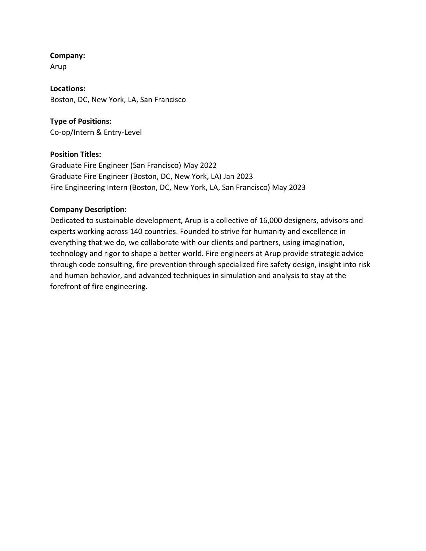Arup

**Locations:** Boston, DC, New York, LA, San Francisco

#### **Type of Positions:** Co-op/Intern & Entry-Level

#### **Position Titles:**

Graduate Fire Engineer (San Francisco) May 2022 Graduate Fire Engineer (Boston, DC, New York, LA) Jan 2023 Fire Engineering Intern (Boston, DC, New York, LA, San Francisco) May 2023

#### **Company Description:**

Dedicated to sustainable development, Arup is a collective of 16,000 designers, advisors and experts working across 140 countries. Founded to strive for humanity and excellence in everything that we do, we collaborate with our clients and partners, using imagination, technology and rigor to shape a better world. Fire engineers at Arup provide strategic advice through code consulting, fire prevention through specialized fire safety design, insight into risk and human behavior, and advanced techniques in simulation and analysis to stay at the forefront of fire engineering.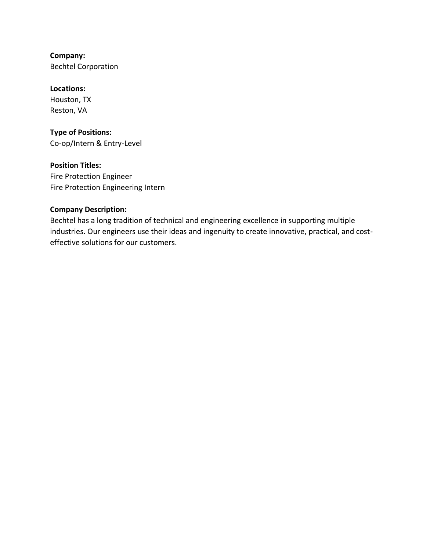**Company:** Bechtel Corporation

**Locations:** Houston, TX Reston, VA

**Type of Positions:** Co-op/Intern & Entry-Level

**Position Titles:** Fire Protection Engineer Fire Protection Engineering Intern

#### **Company Description:**

Bechtel has a long tradition of technical and engineering excellence in supporting multiple industries. Our engineers use their ideas and ingenuity to create innovative, practical, and costeffective solutions for our customers.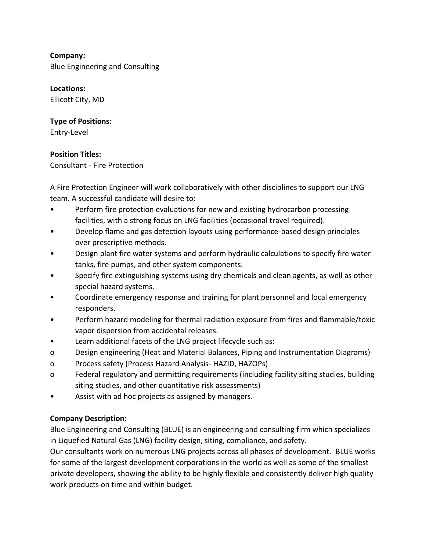**Company:** Blue Engineering and Consulting

**Locations:** Ellicott City, MD

# **Type of Positions:**

Entry-Level

# **Position Titles:**

Consultant - Fire Protection

A Fire Protection Engineer will work collaboratively with other disciplines to support our LNG team. A successful candidate will desire to:

- Perform fire protection evaluations for new and existing hydrocarbon processing facilities, with a strong focus on LNG facilities (occasional travel required).
- Develop flame and gas detection layouts using performance-based design principles over prescriptive methods.
- Design plant fire water systems and perform hydraulic calculations to specify fire water tanks, fire pumps, and other system components.
- Specify fire extinguishing systems using dry chemicals and clean agents, as well as other special hazard systems.
- Coordinate emergency response and training for plant personnel and local emergency responders.
- Perform hazard modeling for thermal radiation exposure from fires and flammable/toxic vapor dispersion from accidental releases.
- Learn additional facets of the LNG project lifecycle such as:
- o Design engineering (Heat and Material Balances, Piping and Instrumentation Diagrams)
- o Process safety (Process Hazard Analysis- HAZID, HAZOPs)
- o Federal regulatory and permitting requirements (including facility siting studies, building siting studies, and other quantitative risk assessments)
- Assist with ad hoc projects as assigned by managers.

# **Company Description:**

Blue Engineering and Consulting (BLUE) is an engineering and consulting firm which specializes in Liquefied Natural Gas (LNG) facility design, siting, compliance, and safety.

Our consultants work on numerous LNG projects across all phases of development. BLUE works for some of the largest development corporations in the world as well as some of the smallest private developers, showing the ability to be highly flexible and consistently deliver high quality work products on time and within budget.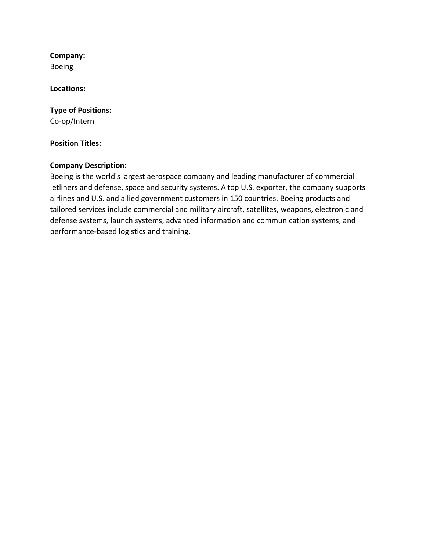**Company:** Boeing

**Locations:**

**Type of Positions:** Co-op/Intern

#### **Position Titles:**

#### **Company Description:**

Boeing is the world's largest aerospace company and leading manufacturer of commercial jetliners and defense, space and security systems. A top U.S. exporter, the company supports airlines and U.S. and allied government customers in 150 countries. Boeing products and tailored services include commercial and military aircraft, satellites, weapons, electronic and defense systems, launch systems, advanced information and communication systems, and performance-based logistics and training.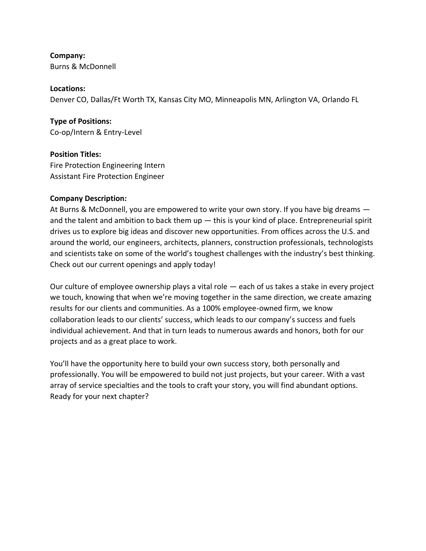**Company:** Burns & McDonnell

**Locations:**

Denver CO, Dallas/Ft Worth TX, Kansas City MO, Minneapolis MN, Arlington VA, Orlando FL

**Type of Positions:** Co-op/Intern & Entry-Level

**Position Titles:** Fire Protection Engineering Intern Assistant Fire Protection Engineer

#### **Company Description:**

At Burns & McDonnell, you are empowered to write your own story. If you have big dreams and the talent and ambition to back them  $up$   $-$  this is your kind of place. Entrepreneurial spirit drives us to explore big ideas and discover new opportunities. From offices across the U.S. and around the world, our engineers, architects, planners, construction professionals, technologists and scientists take on some of the world's toughest challenges with the industry's best thinking. Check out our current openings and apply today!

Our culture of employee ownership plays a vital role — each of us takes a stake in every project we touch, knowing that when we're moving together in the same direction, we create amazing results for our clients and communities. As a 100% employee-owned firm, we know collaboration leads to our clients' success, which leads to our company's success and fuels individual achievement. And that in turn leads to numerous awards and honors, both for our projects and as a great place to work.

You'll have the opportunity here to build your own success story, both personally and professionally. You will be empowered to build not just projects, but your career. With a vast array of service specialties and the tools to craft your story, you will find abundant options. Ready for your next chapter?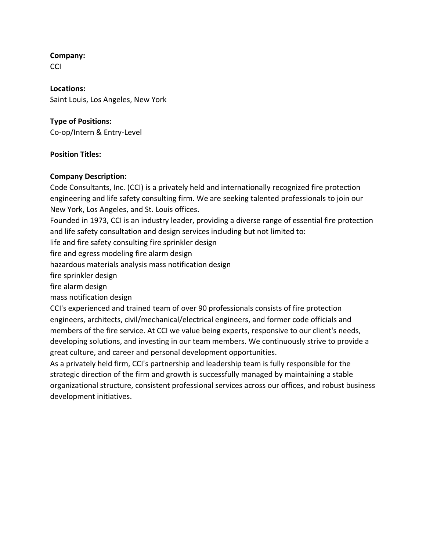**CCI** 

**Locations:** Saint Louis, Los Angeles, New York

### **Type of Positions:**

Co-op/Intern & Entry-Level

# **Position Titles:**

# **Company Description:**

Code Consultants, Inc. (CCI) is a privately held and internationally recognized fire protection engineering and life safety consulting firm. We are seeking talented professionals to join our New York, Los Angeles, and St. Louis offices.

Founded in 1973, CCI is an industry leader, providing a diverse range of essential fire protection and life safety consultation and design services including but not limited to:

life and fire safety consulting fire sprinkler design

fire and egress modeling fire alarm design

hazardous materials analysis mass notification design

fire sprinkler design

fire alarm design

mass notification design

CCI's experienced and trained team of over 90 professionals consists of fire protection engineers, architects, civil/mechanical/electrical engineers, and former code officials and members of the fire service. At CCI we value being experts, responsive to our client's needs, developing solutions, and investing in our team members. We continuously strive to provide a great culture, and career and personal development opportunities.

As a privately held firm, CCI's partnership and leadership team is fully responsible for the strategic direction of the firm and growth is successfully managed by maintaining a stable organizational structure, consistent professional services across our offices, and robust business development initiatives.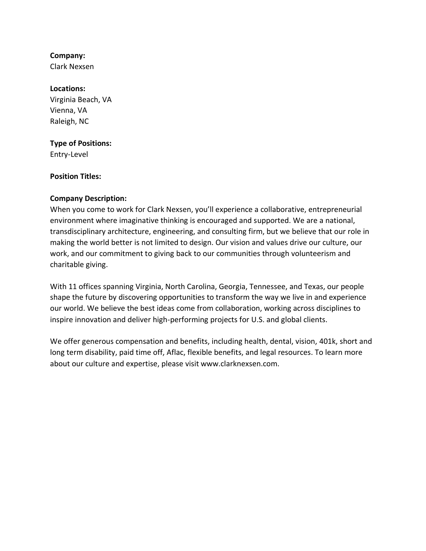Clark Nexsen

#### **Locations:**

Virginia Beach, VA Vienna, VA Raleigh, NC

# **Type of Positions:**

Entry-Level

#### **Position Titles:**

#### **Company Description:**

When you come to work for Clark Nexsen, you'll experience a collaborative, entrepreneurial environment where imaginative thinking is encouraged and supported. We are a national, transdisciplinary architecture, engineering, and consulting firm, but we believe that our role in making the world better is not limited to design. Our vision and values drive our culture, our work, and our commitment to giving back to our communities through volunteerism and charitable giving.

With 11 offices spanning Virginia, North Carolina, Georgia, Tennessee, and Texas, our people shape the future by discovering opportunities to transform the way we live in and experience our world. We believe the best ideas come from collaboration, working across disciplines to inspire innovation and deliver high-performing projects for U.S. and global clients.

We offer generous compensation and benefits, including health, dental, vision, 401k, short and long term disability, paid time off, Aflac, flexible benefits, and legal resources. To learn more about our culture and expertise, please visit www.clarknexsen.com.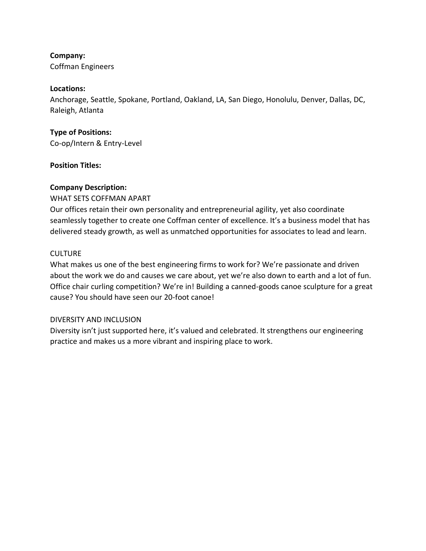Coffman Engineers

#### **Locations:**

Anchorage, Seattle, Spokane, Portland, Oakland, LA, San Diego, Honolulu, Denver, Dallas, DC, Raleigh, Atlanta

### **Type of Positions:**

Co-op/Intern & Entry-Level

#### **Position Titles:**

#### **Company Description:**

WHAT SETS COFFMAN APART Our offices retain their own personality and entrepreneurial agility, yet also coordinate seamlessly together to create one Coffman center of excellence. It's a business model that has delivered steady growth, as well as unmatched opportunities for associates to lead and learn.

#### CULTURE

What makes us one of the best engineering firms to work for? We're passionate and driven about the work we do and causes we care about, yet we're also down to earth and a lot of fun. Office chair curling competition? We're in! Building a canned-goods canoe sculpture for a great cause? You should have seen our 20-foot canoe!

#### DIVERSITY AND INCLUSION

Diversity isn't just supported here, it's valued and celebrated. It strengthens our engineering practice and makes us a more vibrant and inspiring place to work.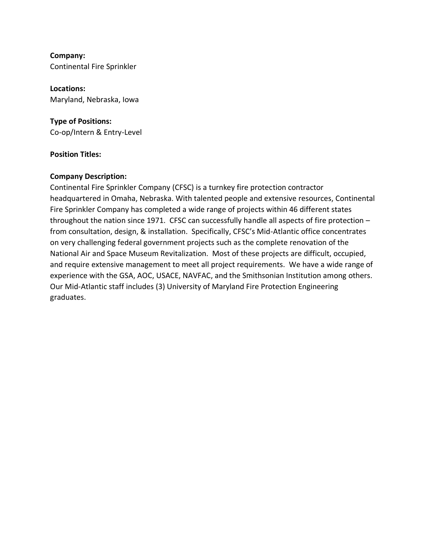**Company:** Continental Fire Sprinkler

**Locations:** Maryland, Nebraska, Iowa

**Type of Positions:** Co-op/Intern & Entry-Level

#### **Position Titles:**

#### **Company Description:**

Continental Fire Sprinkler Company (CFSC) is a turnkey fire protection contractor headquartered in Omaha, Nebraska. With talented people and extensive resources, Continental Fire Sprinkler Company has completed a wide range of projects within 46 different states throughout the nation since 1971. CFSC can successfully handle all aspects of fire protection – from consultation, design, & installation. Specifically, CFSC's Mid-Atlantic office concentrates on very challenging federal government projects such as the complete renovation of the National Air and Space Museum Revitalization. Most of these projects are difficult, occupied, and require extensive management to meet all project requirements. We have a wide range of experience with the GSA, AOC, USACE, NAVFAC, and the Smithsonian Institution among others. Our Mid-Atlantic staff includes (3) University of Maryland Fire Protection Engineering graduates.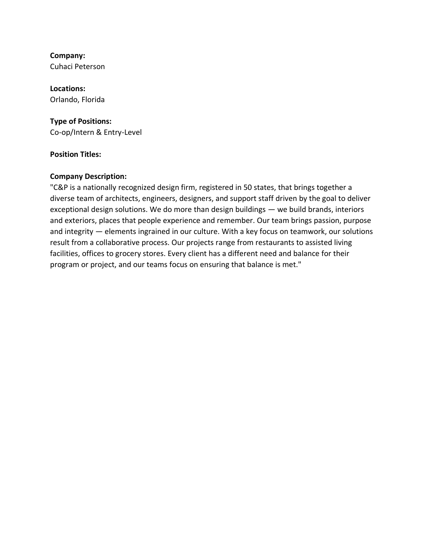**Company:** Cuhaci Peterson

**Locations:** Orlando, Florida

#### **Type of Positions:**

Co-op/Intern & Entry-Level

#### **Position Titles:**

#### **Company Description:**

"C&P is a nationally recognized design firm, registered in 50 states, that brings together a diverse team of architects, engineers, designers, and support staff driven by the goal to deliver exceptional design solutions. We do more than design buildings — we build brands, interiors and exteriors, places that people experience and remember. Our team brings passion, purpose and integrity — elements ingrained in our culture. With a key focus on teamwork, our solutions result from a collaborative process. Our projects range from restaurants to assisted living facilities, offices to grocery stores. Every client has a different need and balance for their program or project, and our teams focus on ensuring that balance is met."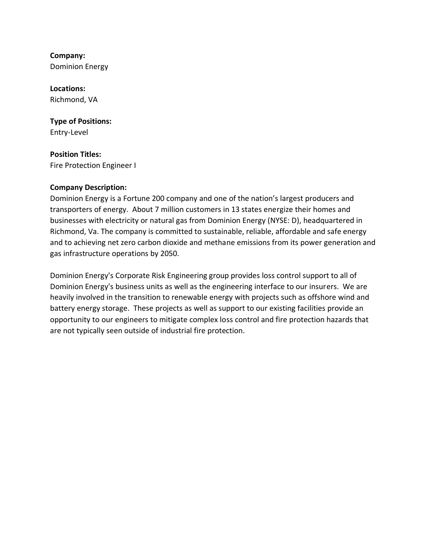**Company:** Dominion Energy

**Locations:** Richmond, VA

**Type of Positions:** Entry-Level

**Position Titles:** Fire Protection Engineer I

#### **Company Description:**

Dominion Energy is a Fortune 200 company and one of the nation's largest producers and transporters of energy. About 7 million customers in 13 states energize their homes and businesses with electricity or natural gas from Dominion Energy (NYSE: D), headquartered in Richmond, Va. The company is committed to sustainable, reliable, affordable and safe energy and to achieving net zero carbon dioxide and methane emissions from its power generation and gas infrastructure operations by 2050.

Dominion Energy's Corporate Risk Engineering group provides loss control support to all of Dominion Energy's business units as well as the engineering interface to our insurers. We are heavily involved in the transition to renewable energy with projects such as offshore wind and battery energy storage. These projects as well as support to our existing facilities provide an opportunity to our engineers to mitigate complex loss control and fire protection hazards that are not typically seen outside of industrial fire protection.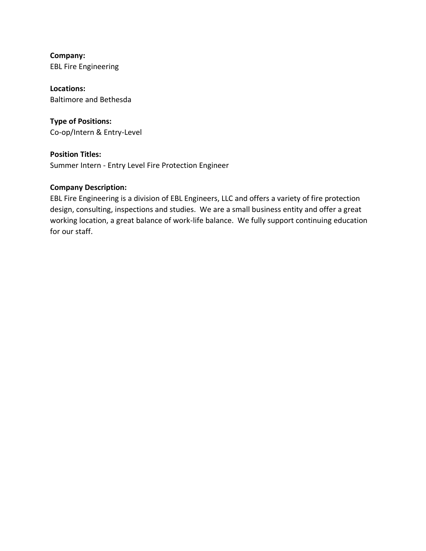**Company:** EBL Fire Engineering

**Locations:** Baltimore and Bethesda

**Type of Positions:** Co-op/Intern & Entry-Level

**Position Titles:** Summer Intern - Entry Level Fire Protection Engineer

#### **Company Description:**

EBL Fire Engineering is a division of EBL Engineers, LLC and offers a variety of fire protection design, consulting, inspections and studies. We are a small business entity and offer a great working location, a great balance of work-life balance. We fully support continuing education for our staff.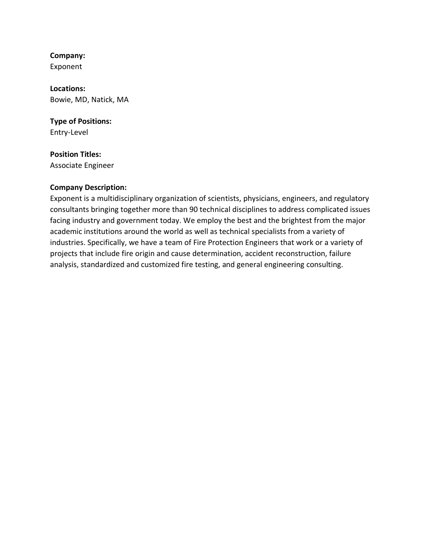Exponent

**Locations:** Bowie, MD, Natick, MA

**Type of Positions:** Entry-Level

# **Position Titles:**

Associate Engineer

#### **Company Description:**

Exponent is a multidisciplinary organization of scientists, physicians, engineers, and regulatory consultants bringing together more than 90 technical disciplines to address complicated issues facing industry and government today. We employ the best and the brightest from the major academic institutions around the world as well as technical specialists from a variety of industries. Specifically, we have a team of Fire Protection Engineers that work or a variety of projects that include fire origin and cause determination, accident reconstruction, failure analysis, standardized and customized fire testing, and general engineering consulting.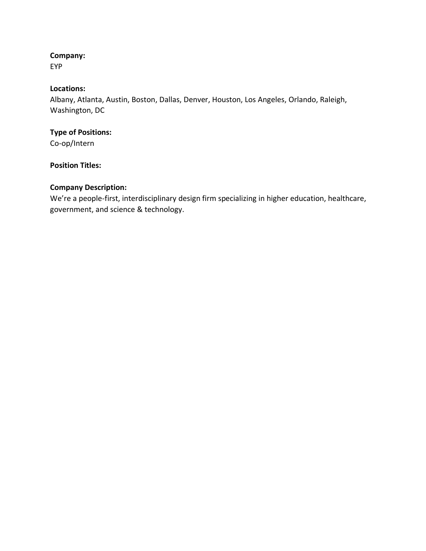EYP

# **Locations:**

Albany, Atlanta, Austin, Boston, Dallas, Denver, Houston, Los Angeles, Orlando, Raleigh, Washington, DC

# **Type of Positions:**

Co-op/Intern

# **Position Titles:**

# **Company Description:**

We're a people-first, interdisciplinary design firm specializing in higher education, healthcare, government, and science & technology.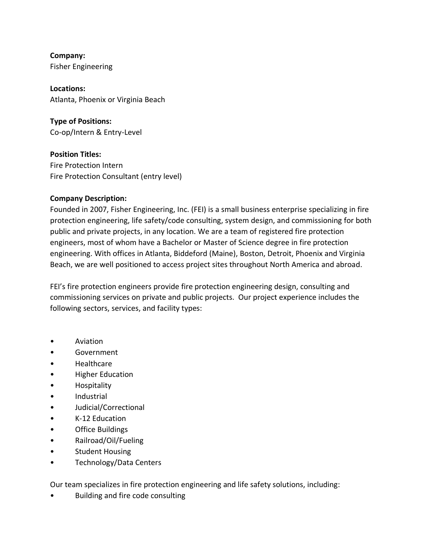**Company:** Fisher Engineering

**Locations:** Atlanta, Phoenix or Virginia Beach

**Type of Positions:** Co-op/Intern & Entry-Level

**Position Titles:** Fire Protection Intern Fire Protection Consultant (entry level)

#### **Company Description:**

Founded in 2007, Fisher Engineering, Inc. (FEI) is a small business enterprise specializing in fire protection engineering, life safety/code consulting, system design, and commissioning for both public and private projects, in any location. We are a team of registered fire protection engineers, most of whom have a Bachelor or Master of Science degree in fire protection engineering. With offices in Atlanta, Biddeford (Maine), Boston, Detroit, Phoenix and Virginia Beach, we are well positioned to access project sites throughout North America and abroad.

FEI's fire protection engineers provide fire protection engineering design, consulting and commissioning services on private and public projects. Our project experience includes the following sectors, services, and facility types:

- Aviation
- **Government**
- Healthcare
- Higher Education
- Hospitality
- Industrial
- Judicial/Correctional
- K-12 Education
- Office Buildings
- Railroad/Oil/Fueling
- Student Housing
- Technology/Data Centers

Our team specializes in fire protection engineering and life safety solutions, including:

• Building and fire code consulting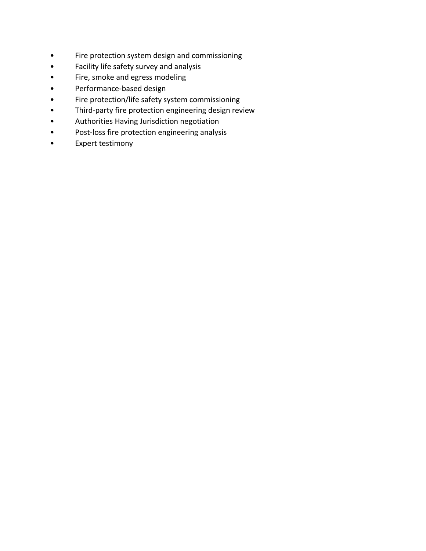- Fire protection system design and commissioning
- Facility life safety survey and analysis
- Fire, smoke and egress modeling
- Performance-based design
- Fire protection/life safety system commissioning
- Third-party fire protection engineering design review
- Authorities Having Jurisdiction negotiation
- Post-loss fire protection engineering analysis
- Expert testimony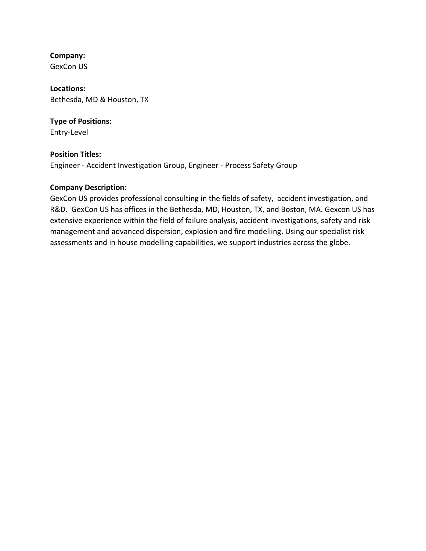GexCon US

**Locations:** Bethesda, MD & Houston, TX

# **Type of Positions:**

Entry-Level

# **Position Titles:**

Engineer - Accident Investigation Group, Engineer - Process Safety Group

# **Company Description:**

GexCon US provides professional consulting in the fields of safety, accident investigation, and R&D. GexCon US has offices in the Bethesda, MD, Houston, TX, and Boston, MA. Gexcon US has extensive experience within the field of failure analysis, accident investigations, safety and risk management and advanced dispersion, explosion and fire modelling. Using our specialist risk assessments and in house modelling capabilities, we support industries across the globe.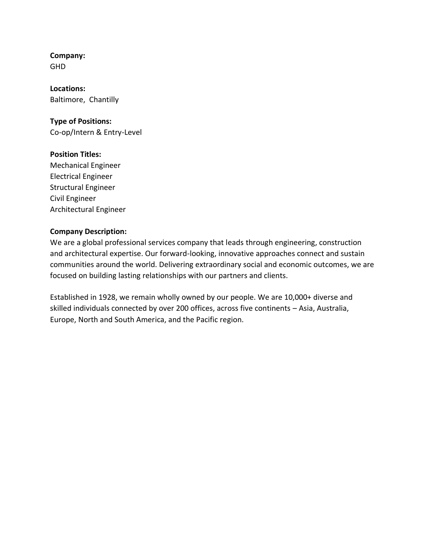#### **Company:** GHD

**Locations:** Baltimore, Chantilly

# **Type of Positions:**

Co-op/Intern & Entry-Level

#### **Position Titles:**

Mechanical Engineer Electrical Engineer Structural Engineer Civil Engineer Architectural Engineer

#### **Company Description:**

We are a global professional services company that leads through engineering, construction and architectural expertise. Our forward-looking, innovative approaches connect and sustain communities around the world. Delivering extraordinary social and economic outcomes, we are focused on building lasting relationships with our partners and clients.

Established in 1928, we remain wholly owned by our people. We are 10,000+ diverse and skilled individuals connected by over 200 offices, across five continents – Asia, Australia, Europe, North and South America, and the Pacific region.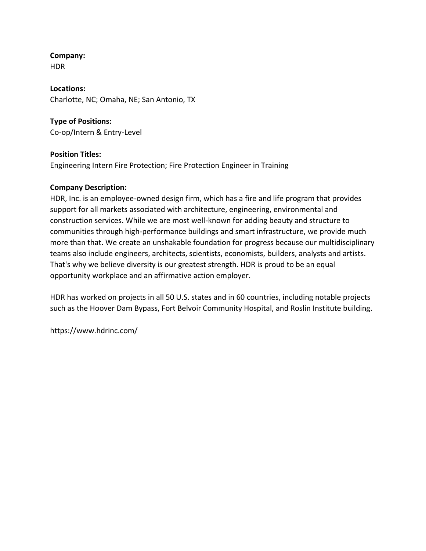HDR

**Locations:** Charlotte, NC; Omaha, NE; San Antonio, TX

# **Type of Positions:** Co-op/Intern & Entry-Level

**Position Titles:**

Engineering Intern Fire Protection; Fire Protection Engineer in Training

# **Company Description:**

HDR, Inc. is an employee-owned design firm, which has a fire and life program that provides support for all markets associated with architecture, engineering, environmental and construction services. While we are most well-known for adding beauty and structure to communities through high-performance buildings and smart infrastructure, we provide much more than that. We create an unshakable foundation for progress because our multidisciplinary teams also include engineers, architects, scientists, economists, builders, analysts and artists. That's why we believe diversity is our greatest strength. HDR is proud to be an equal opportunity workplace and an affirmative action employer.

HDR has worked on projects in all 50 U.S. states and in 60 countries, including notable projects such as the Hoover Dam Bypass, Fort Belvoir Community Hospital, and Roslin Institute building.

https://www.hdrinc.com/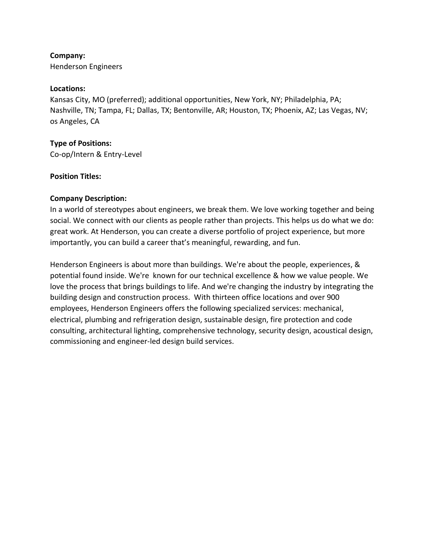Henderson Engineers

#### **Locations:**

Kansas City, MO (preferred); additional opportunities, New York, NY; Philadelphia, PA; Nashville, TN; Tampa, FL; Dallas, TX; Bentonville, AR; Houston, TX; Phoenix, AZ; Las Vegas, NV; os Angeles, CA

#### **Type of Positions:**

Co-op/Intern & Entry-Level

#### **Position Titles:**

#### **Company Description:**

In a world of stereotypes about engineers, we break them. We love working together and being social. We connect with our clients as people rather than projects. This helps us do what we do: great work. At Henderson, you can create a diverse portfolio of project experience, but more importantly, you can build a career that's meaningful, rewarding, and fun.

Henderson Engineers is about more than buildings. We're about the people, experiences, & potential found inside. We're known for our technical excellence & how we value people. We love the process that brings buildings to life. And we're changing the industry by integrating the building design and construction process. With thirteen office locations and over 900 employees, Henderson Engineers offers the following specialized services: mechanical, electrical, plumbing and refrigeration design, sustainable design, fire protection and code consulting, architectural lighting, comprehensive technology, security design, acoustical design, commissioning and engineer-led design build services.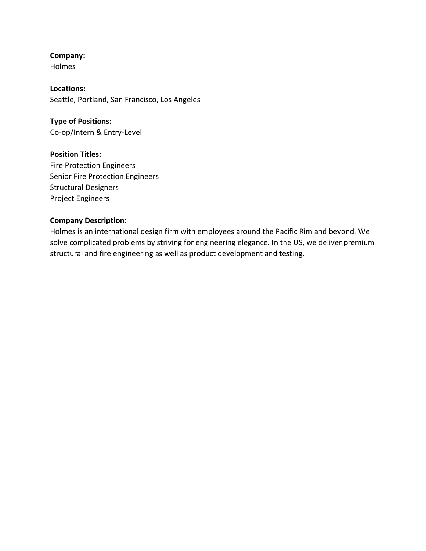Holmes

**Locations:** Seattle, Portland, San Francisco, Los Angeles

**Type of Positions:** Co-op/Intern & Entry-Level

**Position Titles:** Fire Protection Engineers Senior Fire Protection Engineers Structural Designers Project Engineers

#### **Company Description:**

Holmes is an international design firm with employees around the Pacific Rim and beyond. We solve complicated problems by striving for engineering elegance. In the US, we deliver premium structural and fire engineering as well as product development and testing.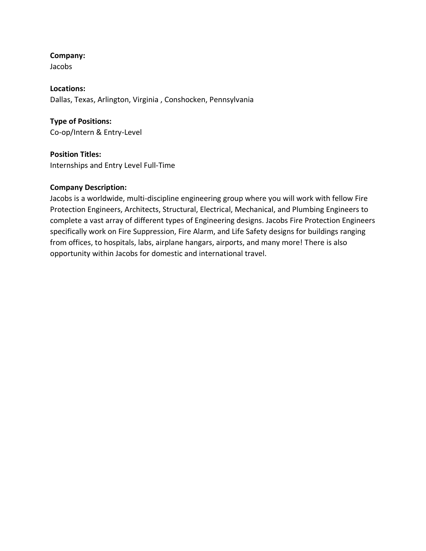Jacobs

**Locations:** Dallas, Texas, Arlington, Virginia , Conshocken, Pennsylvania

**Type of Positions:** Co-op/Intern & Entry-Level

**Position Titles:** Internships and Entry Level Full-Time

#### **Company Description:**

Jacobs is a worldwide, multi-discipline engineering group where you will work with fellow Fire Protection Engineers, Architects, Structural, Electrical, Mechanical, and Plumbing Engineers to complete a vast array of different types of Engineering designs. Jacobs Fire Protection Engineers specifically work on Fire Suppression, Fire Alarm, and Life Safety designs for buildings ranging from offices, to hospitals, labs, airplane hangars, airports, and many more! There is also opportunity within Jacobs for domestic and international travel.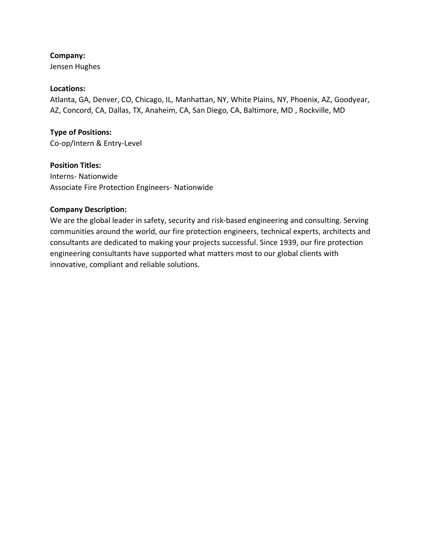Jensen Hughes

#### **Locations:**

Atlanta, GA, Denver, CO, Chicago, IL, Manhattan, NY, White Plains, NY, Phoenix, AZ, Goodyear, AZ, Concord, CA, Dallas, TX, Anaheim, CA, San Diego, CA, Baltimore, MD , Rockville, MD

#### **Type of Positions:**

Co-op/Intern & Entry-Level

#### **Position Titles:**

Interns- Nationwide Associate Fire Protection Engineers- Nationwide

#### **Company Description:**

We are the global leader in safety, security and risk-based engineering and consulting. Serving communities around the world, our fire protection engineers, technical experts, architects and consultants are dedicated to making your projects successful. Since 1939, our fire protection engineering consultants have supported what matters most to our global clients with innovative, compliant and reliable solutions.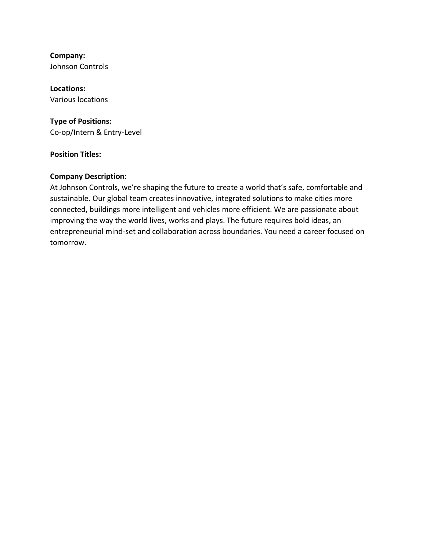**Company:** Johnson Controls

**Locations:** Various locations

# **Type of Positions:**

Co-op/Intern & Entry-Level

#### **Position Titles:**

#### **Company Description:**

At Johnson Controls, we're shaping the future to create a world that's safe, comfortable and sustainable. Our global team creates innovative, integrated solutions to make cities more connected, buildings more intelligent and vehicles more efficient. We are passionate about improving the way the world lives, works and plays. The future requires bold ideas, an entrepreneurial mind-set and collaboration across boundaries. You need a career focused on tomorrow.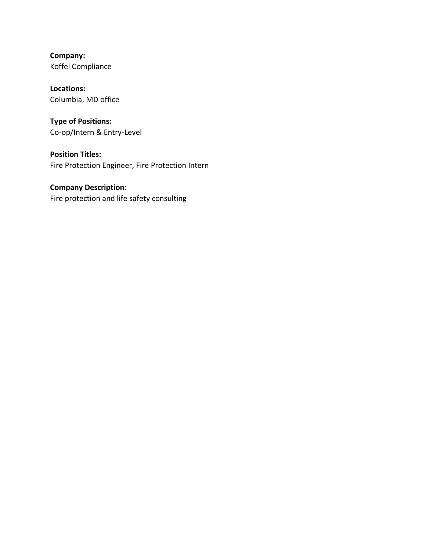**Company:** Koffel Compliance

**Locations:** Columbia, MD office

**Type of Positions:** Co-op/Intern & Entry-Level

**Position Titles:** Fire Protection Engineer, Fire Protection Intern

**Company Description:** Fire protection and life safety consulting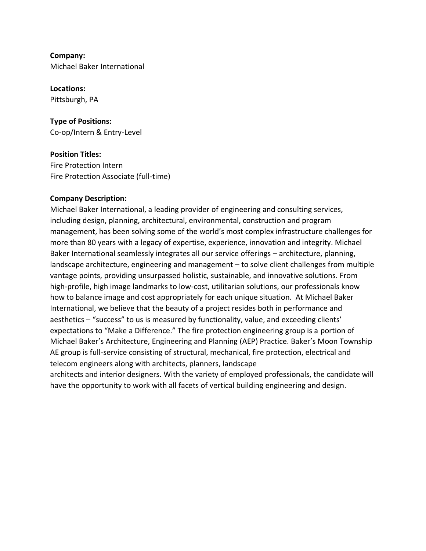**Company:** Michael Baker International

**Locations:** Pittsburgh, PA

**Type of Positions:** Co-op/Intern & Entry-Level

**Position Titles:** Fire Protection Intern Fire Protection Associate (full-time)

#### **Company Description:**

Michael Baker International, a leading provider of engineering and consulting services, including design, planning, architectural, environmental, construction and program management, has been solving some of the world's most complex infrastructure challenges for more than 80 years with a legacy of expertise, experience, innovation and integrity. Michael Baker International seamlessly integrates all our service offerings – architecture, planning, landscape architecture, engineering and management – to solve client challenges from multiple vantage points, providing unsurpassed holistic, sustainable, and innovative solutions. From high-profile, high image landmarks to low-cost, utilitarian solutions, our professionals know how to balance image and cost appropriately for each unique situation.  At Michael Baker International, we believe that the beauty of a project resides both in performance and aesthetics – "success" to us is measured by functionality, value, and exceeding clients' expectations to "Make a Difference." The fire protection engineering group is a portion of Michael Baker's Architecture, Engineering and Planning (AEP) Practice. Baker's Moon Township AE group is full-service consisting of structural, mechanical, fire protection, electrical and telecom engineers along with architects, planners, landscape

architects and interior designers. With the variety of employed professionals, the candidate will have the opportunity to work with all facets of vertical building engineering and design.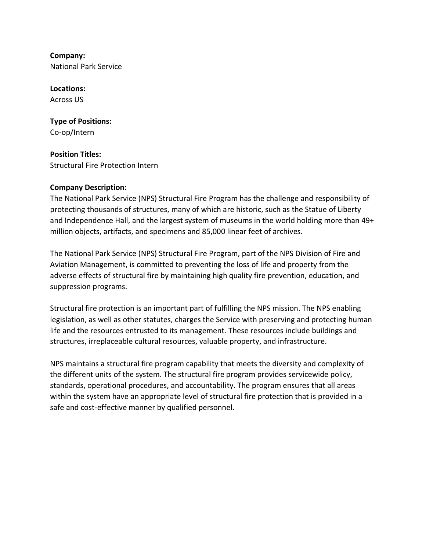**Company:** National Park Service

**Locations:** Across US

**Type of Positions:** Co-op/Intern

**Position Titles:** Structural Fire Protection Intern

# **Company Description:**

The National Park Service (NPS) Structural Fire Program has the challenge and responsibility of protecting thousands of structures, many of which are historic, such as the Statue of Liberty and Independence Hall, and the largest system of museums in the world holding more than 49+ million objects, artifacts, and specimens and 85,000 linear feet of archives.

The National Park Service (NPS) Structural Fire Program, part of the NPS Division of Fire and Aviation Management, is committed to preventing the loss of life and property from the adverse effects of structural fire by maintaining high quality fire prevention, education, and suppression programs.

Structural fire protection is an important part of fulfilling the NPS mission. The NPS enabling legislation, as well as other statutes, charges the Service with preserving and protecting human life and the resources entrusted to its management. These resources include buildings and structures, irreplaceable cultural resources, valuable property, and infrastructure.

NPS maintains a structural fire program capability that meets the diversity and complexity of the different units of the system. The structural fire program provides servicewide policy, standards, operational procedures, and accountability. The program ensures that all areas within the system have an appropriate level of structural fire protection that is provided in a safe and cost-effective manner by qualified personnel.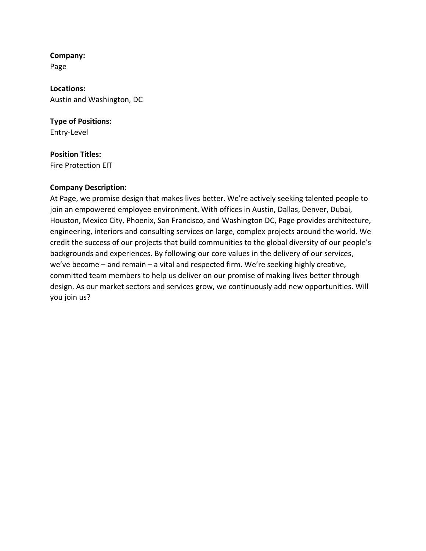**Company:** Page

**Locations:** Austin and Washington, DC

**Type of Positions:** Entry-Level

#### **Position Titles:**

Fire Protection EIT

#### **Company Description:**

At Page, we promise design that makes lives better. We're actively seeking talented people to join an empowered employee environment. With offices in Austin, Dallas, Denver, Dubai, Houston, Mexico City, Phoenix, San Francisco, and Washington DC, Page provides architecture, engineering, interiors and consulting services on large, complex projects around the world. We credit the success of our projects that build communities to the global diversity of our people's backgrounds and experiences. By following our core values in the delivery of our services, we've become – and remain – a vital and respected firm. We're seeking highly creative, committed team members to help us deliver on our promise of making lives better through design. As our market sectors and services grow, we continuously add new opportunities. Will you join us?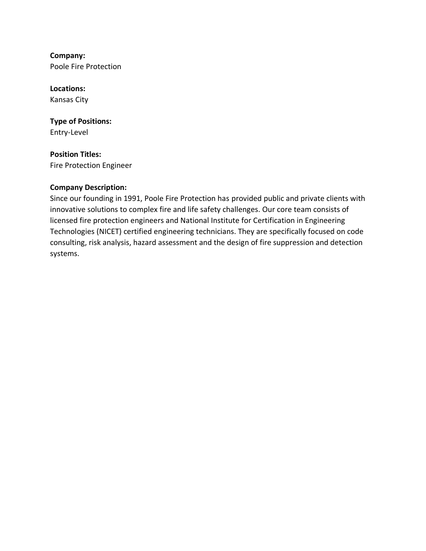**Company:** Poole Fire Protection

**Locations:** Kansas City

**Type of Positions:** Entry-Level

**Position Titles:** Fire Protection Engineer

#### **Company Description:**

Since our founding in 1991, Poole Fire Protection has provided public and private clients with innovative solutions to complex fire and life safety challenges. Our core team consists of licensed fire protection engineers and National Institute for Certification in Engineering Technologies (NICET) certified engineering technicians. They are specifically focused on code consulting, risk analysis, hazard assessment and the design of fire suppression and detection systems.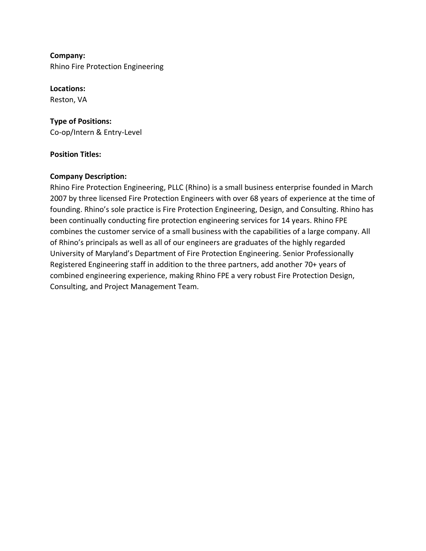**Company:** Rhino Fire Protection Engineering

**Locations:** Reston, VA

**Type of Positions:** Co-op/Intern & Entry-Level

#### **Position Titles:**

#### **Company Description:**

Rhino Fire Protection Engineering, PLLC (Rhino) is a small business enterprise founded in March 2007 by three licensed Fire Protection Engineers with over 68 years of experience at the time of founding. Rhino's sole practice is Fire Protection Engineering, Design, and Consulting. Rhino has been continually conducting fire protection engineering services for 14 years. Rhino FPE combines the customer service of a small business with the capabilities of a large company. All of Rhino's principals as well as all of our engineers are graduates of the highly regarded University of Maryland's Department of Fire Protection Engineering. Senior Professionally Registered Engineering staff in addition to the three partners, add another 70+ years of combined engineering experience, making Rhino FPE a very robust Fire Protection Design, Consulting, and Project Management Team.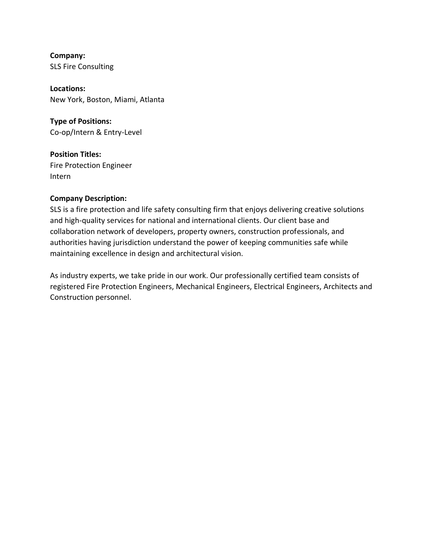**Company:** SLS Fire Consulting

**Locations:** New York, Boston, Miami, Atlanta

**Type of Positions:** Co-op/Intern & Entry-Level

**Position Titles:** Fire Protection Engineer Intern

#### **Company Description:**

SLS is a fire protection and life safety consulting firm that enjoys delivering creative solutions and high-quality services for national and international clients. Our client base and collaboration network of developers, property owners, construction professionals, and authorities having jurisdiction understand the power of keeping communities safe while maintaining excellence in design and architectural vision.

As industry experts, we take pride in our work. Our professionally certified team consists of registered Fire Protection Engineers, Mechanical Engineers, Electrical Engineers, Architects and Construction personnel.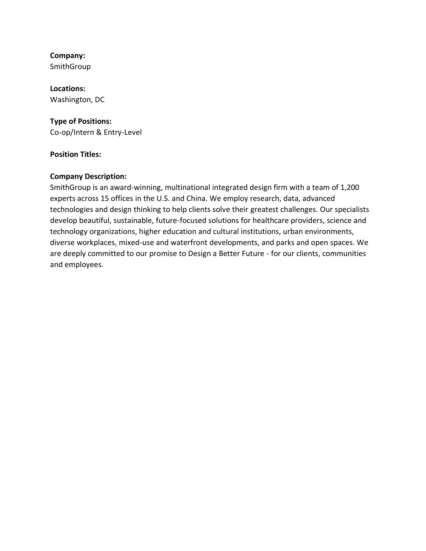SmithGroup

# **Locations:**

Washington, DC

#### **Type of Positions:**

Co-op/Intern & Entry-Level

#### **Position Titles:**

#### **Company Description:**

SmithGroup is an award-winning, multinational integrated design firm with a team of 1,200 experts across 15 offices in the U.S. and China. We employ research, data, advanced technologies and design thinking to help clients solve their greatest challenges. Our specialists develop beautiful, sustainable, future-focused solutions for healthcare providers, science and technology organizations, higher education and cultural institutions, urban environments, diverse workplaces, mixed-use and waterfront developments, and parks and open spaces. We are deeply committed to our promise to Design a Better Future - for our clients, communities and employees.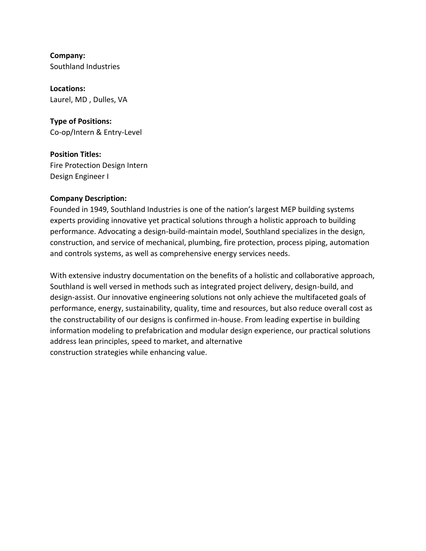**Company:** Southland Industries

**Locations:** Laurel, MD , Dulles, VA

**Type of Positions:** Co-op/Intern & Entry-Level

**Position Titles:** Fire Protection Design Intern Design Engineer I

#### **Company Description:**

Founded in 1949, Southland Industries is one of the nation's largest MEP building systems experts providing innovative yet practical solutions through a holistic approach to building performance. Advocating a design-build-maintain model, Southland specializes in the design, construction, and service of mechanical, plumbing, fire protection, process piping, automation and controls systems, as well as comprehensive energy services needs.

With extensive industry documentation on the benefits of a holistic and collaborative approach, Southland is well versed in methods such as integrated project delivery, design-build, and design-assist. Our innovative engineering solutions not only achieve the multifaceted goals of performance, energy, sustainability, quality, time and resources, but also reduce overall cost as the constructability of our designs is confirmed in-house. From leading expertise in building information modeling to prefabrication and modular design experience, our practical solutions address lean principles, speed to market, and alternative construction strategies while enhancing value.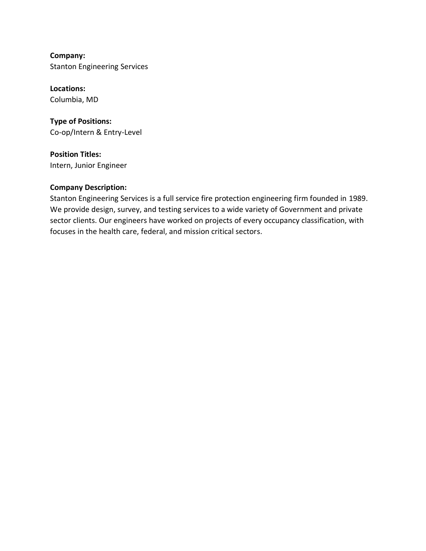**Company:** Stanton Engineering Services

**Locations:** Columbia, MD

**Type of Positions:** Co-op/Intern & Entry-Level

**Position Titles:** Intern, Junior Engineer

#### **Company Description:**

Stanton Engineering Services is a full service fire protection engineering firm founded in 1989. We provide design, survey, and testing services to a wide variety of Government and private sector clients. Our engineers have worked on projects of every occupancy classification, with focuses in the health care, federal, and mission critical sectors.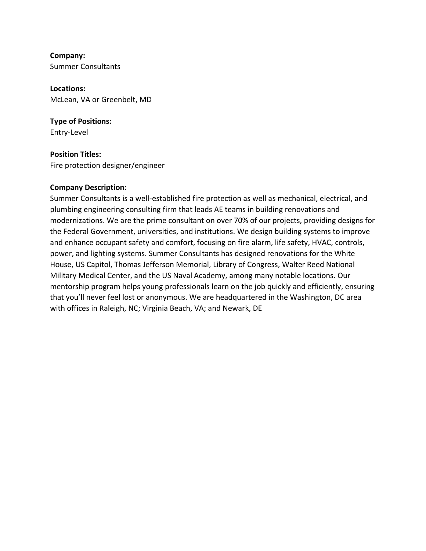**Company:** Summer Consultants

**Locations:** McLean, VA or Greenbelt, MD

**Type of Positions:** Entry-Level

**Position Titles:** Fire protection designer/engineer

#### **Company Description:**

Summer Consultants is a well-established fire protection as well as mechanical, electrical, and plumbing engineering consulting firm that leads AE teams in building renovations and modernizations. We are the prime consultant on over 70% of our projects, providing designs for the Federal Government, universities, and institutions. We design building systems to improve and enhance occupant safety and comfort, focusing on fire alarm, life safety, HVAC, controls, power, and lighting systems. Summer Consultants has designed renovations for the White House, US Capitol, Thomas Jefferson Memorial, Library of Congress, Walter Reed National Military Medical Center, and the US Naval Academy, among many notable locations. Our mentorship program helps young professionals learn on the job quickly and efficiently, ensuring that you'll never feel lost or anonymous. We are headquartered in the Washington, DC area with offices in Raleigh, NC; Virginia Beach, VA; and Newark, DE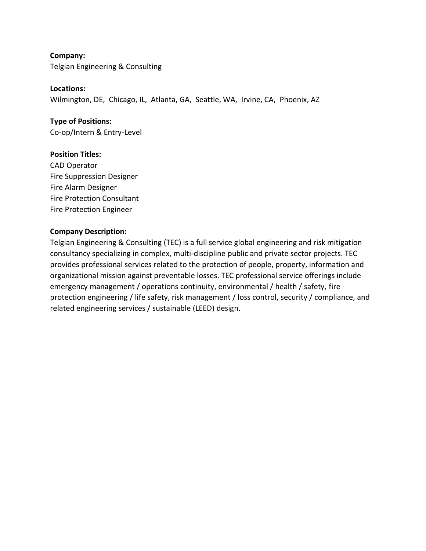**Company:** Telgian Engineering & Consulting

**Locations:**

Wilmington, DE, Chicago, IL, Atlanta, GA, Seattle, WA, Irvine, CA, Phoenix, AZ

**Type of Positions:** Co-op/Intern & Entry-Level

#### **Position Titles:**

CAD Operator Fire Suppression Designer Fire Alarm Designer Fire Protection Consultant Fire Protection Engineer

#### **Company Description:**

Telgian Engineering & Consulting (TEC) is a full service global engineering and risk mitigation consultancy specializing in complex, multi-discipline public and private sector projects. TEC provides professional services related to the protection of people, property, information and organizational mission against preventable losses. TEC professional service offerings include emergency management / operations continuity, environmental / health / safety, fire protection engineering / life safety, risk management / loss control, security / compliance, and related engineering services / sustainable (LEED) design.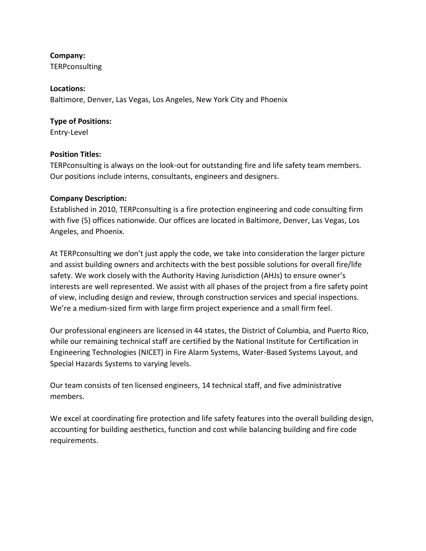TERPconsulting

#### **Locations:**

Baltimore, Denver, Las Vegas, Los Angeles, New York City and Phoenix

#### **Type of Positions:**

Entry-Level

#### **Position Titles:**

TERPconsulting is always on the look-out for outstanding fire and life safety team members. Our positions include interns, consultants, engineers and designers.

#### **Company Description:**

Established in 2010, TERPconsulting is a fire protection engineering and code consulting firm with five (5) offices nationwide. Our offices are located in Baltimore, Denver, Las Vegas, Los Angeles, and Phoenix.

At TERPconsulting we don't just apply the code, we take into consideration the larger picture and assist building owners and architects with the best possible solutions for overall fire/life safety. We work closely with the Authority Having Jurisdiction (AHJs) to ensure owner's interests are well represented. We assist with all phases of the project from a fire safety point of view, including design and review, through construction services and special inspections. We're a medium-sized firm with large firm project experience and a small firm feel.

Our professional engineers are licensed in 44 states, the District of Columbia, and Puerto Rico, while our remaining technical staff are certified by the National Institute for Certification in Engineering Technologies (NICET) in Fire Alarm Systems, Water-Based Systems Layout, and Special Hazards Systems to varying levels.

Our team consists of ten licensed engineers, 14 technical staff, and five administrative members.

We excel at coordinating fire protection and life safety features into the overall building design, accounting for building aesthetics, function and cost while balancing building and fire code requirements.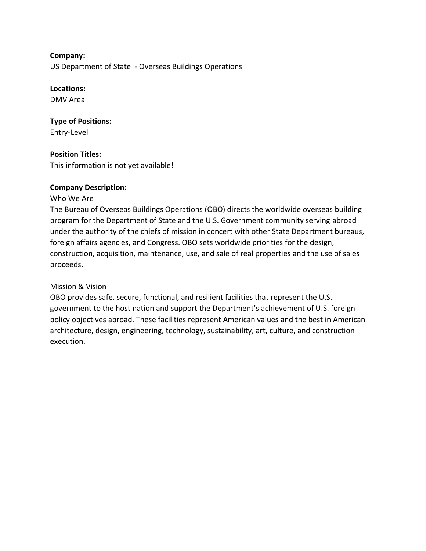US Department of State - Overseas Buildings Operations

#### **Locations:**

DMV Area

# **Type of Positions:**

Entry-Level

# **Position Titles:**

This information is not yet available!

#### **Company Description:**

#### Who We Are

The Bureau of Overseas Buildings Operations (OBO) directs the worldwide overseas building program for the Department of State and the U.S. Government community serving abroad under the authority of the chiefs of mission in concert with other State Department bureaus, foreign affairs agencies, and Congress. OBO sets worldwide priorities for the design, construction, acquisition, maintenance, use, and sale of real properties and the use of sales proceeds.

#### Mission & Vision

OBO provides safe, secure, functional, and resilient facilities that represent the U.S. government to the host nation and support the Department's achievement of U.S. foreign policy objectives abroad. These facilities represent American values and the best in American architecture, design, engineering, technology, sustainability, art, culture, and construction execution.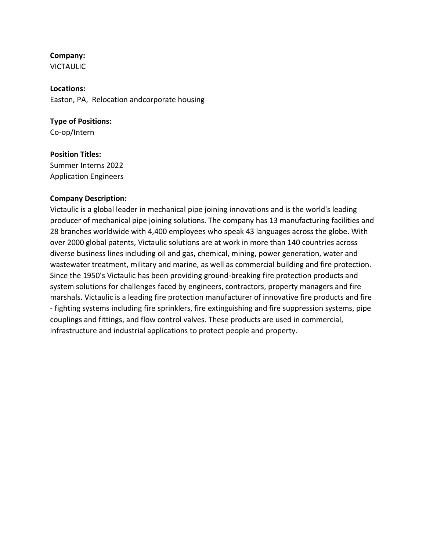VICTAULIC

**Locations:** Easton, PA, Relocation andcorporate housing

# **Type of Positions:**

Co-op/Intern

# **Position Titles:**

Summer Interns 2022 Application Engineers

#### **Company Description:**

Victaulic is a global leader in mechanical pipe joining innovations and is the world's leading producer of mechanical pipe joining solutions. The company has 13 manufacturing facilities and 28 branches worldwide with 4,400 employees who speak 43 languages across the globe. With over 2000 global patents, Victaulic solutions are at work in more than 140 countries across diverse business lines including oil and gas, chemical, mining, power generation, water and wastewater treatment, military and marine, as well as commercial building and fire protection. Since the 1950's Victaulic has been providing ground-breaking fire protection products and system solutions for challenges faced by engineers, contractors, property managers and fire marshals. Victaulic is a leading fire protection manufacturer of innovative fire products and fire - fighting systems including fire sprinklers, fire extinguishing and fire suppression systems, pipe couplings and fittings, and flow control valves. These products are used in commercial, infrastructure and industrial applications to protect people and property.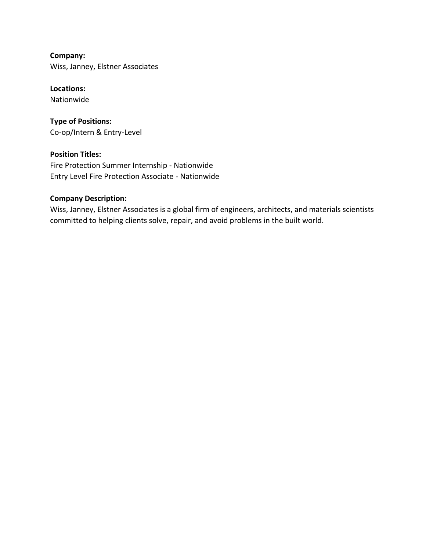**Company:** Wiss, Janney, Elstner Associates

**Locations:** Nationwide

**Type of Positions:** Co-op/Intern & Entry-Level

**Position Titles:** Fire Protection Summer Internship - Nationwide Entry Level Fire Protection Associate - Nationwide

#### **Company Description:**

Wiss, Janney, Elstner Associates is a global firm of engineers, architects, and materials scientists committed to helping clients solve, repair, and avoid problems in the built world.